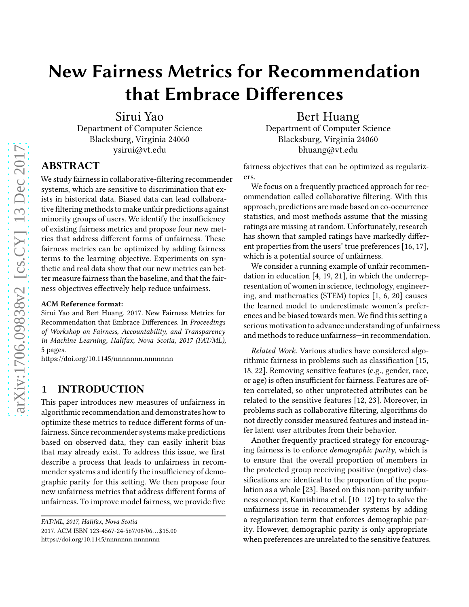# New Fairness Metrics for Recommendation that Embrace Differences

Sirui Yao Department of Computer Science Blacksburg, Virginia 24060 ysirui@vt.edu

## ABSTRACT

We study fairness in collaborative-filtering recommender systems, which are sensitive to discrimination that exists in historical data. Biased data can lead collaborative filtering methods to make unfair predictions against minority groups of users. We identify the insufficiency of existing fairness metrics and propose four new metrics that address different forms of unfairness. These fairness metrics can be optimized by adding fairness terms to the learning objective. Experiments on synthetic and real data show that our new metrics can better measure fairness than the baseline, and that the fairness objectives effectively help reduce unfairness.

#### ACM Reference format:

Sirui Yao and Bert Huang. 2017. New Fairness Metrics for Recommendation that Embrace Differences. In Proceedings of Workshop on Fairness, Accountability, and Transparency in Machine Learning, Halifax, Nova Scotia, 2017 (FAT/ML), [5](#page-4-0) pages.

<https://doi.org/10.1145/nnnnnnn.nnnnnnn>

#### 1 INTRODUCTION

This paper introduces new measures of unfairness in algorithmic recommendation and demonstrates how to optimize these metrics to reduce different forms of unfairness. Since recommender systems make predictions based on observed data, they can easily inherit bias that may already exist. To address this issue, we first describe a process that leads to unfairness in recommender systems and identify the insufficiency of demographic parity for this setting. We then propose four new unfairness metrics that address different forms of unfairness. To improve model fairness, we provide five

2017. ACM ISBN 123-4567-24-567/08/06. . .\$15.00

Bert Huang Department of Computer Science Blacksburg, Virginia 24060 bhuang@vt.edu

fairness objectives that can be optimized as regularizers.

We focus on a frequently practiced approach for recommendation called collaborative filtering. With this approach, predictions are made based on co-occurrence statistics, and most methods assume that the missing ratings are missing at random. Unfortunately, research has shown that sampled ratings have markedly different properties from the users' true preferences [\[16](#page-4-1), [17](#page-4-2)], which is a potential source of unfairness.

We consider a running example of unfair recommendation in education [\[4](#page-4-3), [19,](#page-4-4) [21](#page-4-5)], in which the underrepresentation of women in science, technology, engineering, and mathematics (STEM) topics [\[1,](#page-4-6) [6,](#page-4-7) [20\]](#page-4-8) causes the learned model to underestimate women's preferences and be biased towards men. We find this setting a serious motivation to advance understanding of unfairness and methods to reduce unfairness—in recommendation.

Related Work. Various studies have considered algorithmic fairness in problems such as classification [\[15](#page-4-9), [18,](#page-4-10) [22](#page-4-11)]. Removing sensitive features (e.g., gender, race, or age) is often insufficient for fairness. Features are often correlated, so other unprotected attributes can be related to the sensitive features [\[12](#page-4-12), [23\]](#page-4-13). Moreover, in problems such as collaborative filtering, algorithms do not directly consider measured features and instead infer latent user attributes from their behavior.

Another frequently practiced strategy for encouraging fairness is to enforce demographic parity, which is to ensure that the overall proportion of members in the protected group receiving positive (negative) classifications are identical to the proportion of the population as a whole [\[23\]](#page-4-13). Based on this non-parity unfairness concept, Kamishima et al. [\[10](#page-4-14)[–12](#page-4-12)] try to solve the unfairness issue in recommender systems by adding a regularization term that enforces demographic parity. However, demographic parity is only appropriate when preferences are unrelated to the sensitive features.

FAT/ML, 2017, Halifax, Nova Scotia

<https://doi.org/10.1145/nnnnnnn.nnnnnnn>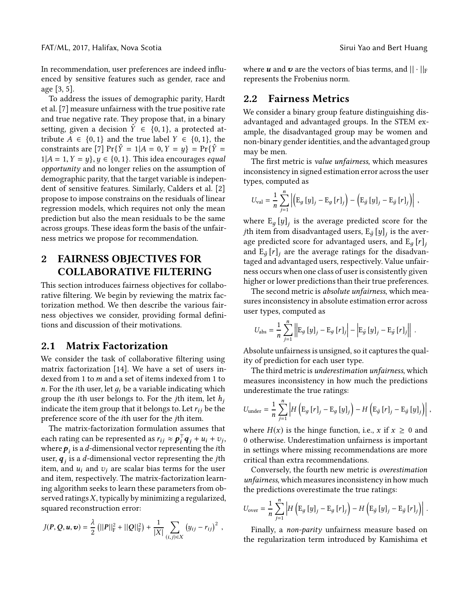In recommendation, user preferences are indeed influenced by sensitive features such as gender, race and age [\[3,](#page-4-15) [5\]](#page-4-16).

To address the issues of demographic parity, Hardt et al. [\[7\]](#page-4-17) measure unfairness with the true positive rate and true negative rate. They propose that, in a binary setting, given a decision  $\hat{Y} \in \{0, 1\}$ , a protected attribute  $A \in \{0, 1\}$  and the true label  $Y \in \{0, 1\}$ , the constraints are [\[7](#page-4-17)]  $Pr{\hat{Y} = 1 | A = 0, Y = y} = Pr{\hat{Y} = 1}$  $1|A = 1, Y = y\}, y \in \{0, 1\}.$  This idea encourages equal opportunity and no longer relies on the assumption of demographic parity, that the target variable is independent of sensitive features. Similarly, Calders et al. [\[2](#page-4-18)] propose to impose constrains on the residuals of linear regression models, which requires not only the mean prediction but also the mean residuals to be the same across groups. These ideas form the basis of the unfairness metrics we propose for recommendation.

## 2 FAIRNESS OBJECTIVES FOR COLLABORATIVE FILTERING

This section introduces fairness objectives for collaborative filtering. We begin by reviewing the matrix factorization method. We then describe the various fairness objectives we consider, providing formal definitions and discussion of their motivations.

#### 2.1 Matrix Factorization

We consider the task of collaborative filtering using matrix factorization [\[14](#page-4-19)]. We have a set of users indexed from 1 to  $m$  and a set of items indexed from 1 to n. For the ith user, let  $q_i$  be a variable indicating which group the *i*th user belongs to. For the *j*th item, let  $h_j$ indicate the item group that it belongs to. Let  $r_{ij}$  be the preference score of the ith user for the jth item.

The matrix-factorization formulation assumes that each rating can be represented as  $r_{ij} \approx \boldsymbol{p}_i^{\top} \boldsymbol{q}_j + u_i + v_j$ , where  $\boldsymbol{p}_i$  is a  $d$ -dimensional vector representing the *i*th user,  $\boldsymbol{q}_j$  is a  $d$ -dimensional vector representing the  $j$ th item, and  $u_i$  and  $v_i$  are scalar bias terms for the user and item, respectively. The matrix-factorization learning algorithm seeks to learn these parameters from observed ratings  $X$ , typically by minimizing a regularized, squared reconstruction error:

$$
J(P,Q,\boldsymbol{u},\boldsymbol{v}) = \frac{\lambda}{2} (||P||_{\mathrm{F}}^2 + ||Q||_{\mathrm{F}}^2) + \frac{1}{|X|} \sum_{(i,j) \in X} (y_{ij} - r_{ij})^2,
$$

where **u** and **v** are the vectors of bias terms, and  $|| \cdot ||_F$ represents the Frobenius norm.

#### 2.2 Fairness Metrics

We consider a binary group feature distinguishing disadvantaged and advantaged groups. In the STEM example, the disadvantaged group may be women and non-binary gender identities, and the advantaged group may be men.

The first metric is value unfairness, which measures inconsistency in signed estimation error across the user types, computed as

$$
U_{\text{val}} = \frac{1}{n} \sum_{j=1}^{n} \left| \left( \mathbf{E}_{g} \left[ y \right]_{j} - \mathbf{E}_{g} \left[ r \right]_{j} \right) - \left( \mathbf{E}_{\tilde{g}} \left[ y \right]_{j} - \mathbf{E}_{\tilde{g}} \left[ r \right]_{j} \right) \right| ,
$$

where  $\mathrm{E}_{g}\left[y\right]_{j}$  is the average predicted score for the  $j$ th item from disadvantaged users,  $\mathrm{E}_{\tilde{g}}\left[y\right]_{j}$  is the average predicted score for advantaged users, and  $E_q [r]_i$ and  $\mathrm{E}_{\tilde{g}}\left[ r\right] _{j}$  are the average ratings for the disadvantaged and advantaged users, respectively. Value unfairness occurs when one class of user is consistently given higher or lower predictions than their true preferences.

The second metric is absolute unfairness, which measures inconsistency in absolute estimation error across user types, computed as

$$
U_{\rm abs} = \frac{1}{n} \sum_{j=1}^{n} \left\| \mathbb{E}_{g} \left[ y \right]_{j} - \mathbb{E}_{g} \left[ r \right]_{j} \right\| - \left| \mathbb{E}_{\tilde{g}} \left[ y \right]_{j} - \mathbb{E}_{\tilde{g}} \left[ r \right]_{j} \right\|.
$$

Absolute unfairness is unsigned, so it captures the quality of prediction for each user type.

The third metric is underestimation unfairness, which measures inconsistency in how much the predictions underestimate the true ratings:

$$
U_{\text{under}} = \frac{1}{n} \sum_{j=1}^{n} \left| H\left(\mathrm{E}_{g} \left[r\right]_{j} - \mathrm{E}_{g} \left[y\right]_{j}\right) - H\left(\mathrm{E}_{\tilde{g}} \left[r\right]_{j} - \mathrm{E}_{\tilde{g}} \left[y\right]_{j}\right) \right|,
$$

where  $H(x)$  is the hinge function, i.e., x if  $x \ge 0$  and 0 otherwise. Underestimation unfairness is important in settings where missing recommendations are more critical than extra recommendations.

Conversely, the fourth new metric is overestimation unfairness, which measures inconsistency in how much the predictions overestimate the true ratings:

$$
U_{\text{over}} = \frac{1}{n} \sum_{j=1}^{n} \left| H\left(\mathrm{E}_{g}\left[y\right]_{j} - \mathrm{E}_{g}\left[r\right]_{j}\right) - H\left(\mathrm{E}_{\tilde{g}}\left[y\right]_{j} - \mathrm{E}_{\tilde{g}}\left[r\right]_{j}\right) \right|.
$$

Finally, a non-parity unfairness measure based on the regularization term introduced by Kamishima et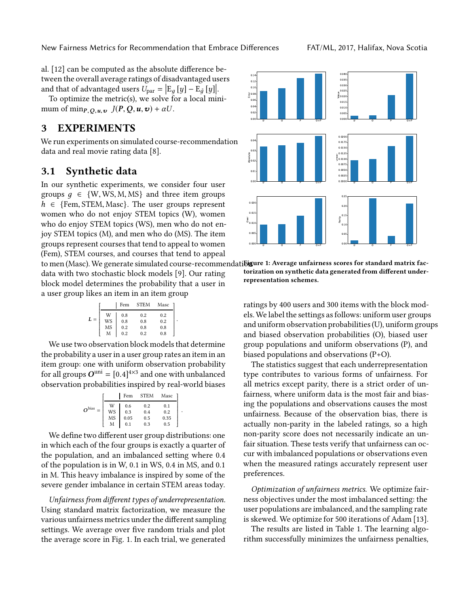New Fairness Metrics for Recommendation that Embrace Differences FAT/ML, 2017, Halifax, Nova Scotia

al. [\[12\]](#page-4-12) can be computed as the absolute difference between the overall average ratings of disadvantaged users and that of advantaged users  $U_{\text{par}} = |\mathbf{E}_g[y] - \mathbf{E}_{\tilde{g}}[y]|$ .

To optimize the metric(s), we solve for a local minimum of min $P_{Q,u,v}$   $J(P,Q,u,v) + \alpha U$ .

## 3 EXPERIMENTS

We run experiments on simulated course-recommendation data and real movie rating data [\[8](#page-4-20)].

#### <span id="page-2-1"></span>3.1 Synthetic data

In our synthetic experiments, we consider four user groups  $q \in \{W, WS, M, MS\}$  and three item groups  $h \in \{Fem, STEM, Masc\}$ . The user groups represent women who do not enjoy STEM topics (W), women who do enjoy STEM topics (WS), men who do not enjoy STEM topics (M), and men who do (MS). The item groups represent courses that tend to appeal to women (Fem), STEM courses, and courses that tend to appeal

data with two stochastic block models [\[9](#page-4-21)]. Our rating block model determines the probability that a user in a user group likes an item in an item group

|       |    | Fem | <b>STEM</b> | Masc |  |
|-------|----|-----|-------------|------|--|
| $L =$ |    | 0.8 | 0.2         | 0.2  |  |
|       | WS | 0.8 | 0.8         | 0.2  |  |
|       | MS | 0.2 | 0.8         | 0.8  |  |
|       | M  | 0.2 | 0.2         | 0.8  |  |
|       |    |     |             |      |  |

We use two observation block models that determine the probability a user in a user group rates an item in an item group: one with uniform observation probability for all groups  $O^{\text{uni}} = [0.4]^{4 \times 3}$  and one with unbalanced observation probabilities inspired by real-world biases

|               |    | Fem  | <b>STEM</b> | Masc |  |
|---------------|----|------|-------------|------|--|
| $\Omega$ bias |    | 0.6  | 0.2         | 0.1  |  |
|               | WS | 0.3  | 0.4         | 0.2  |  |
|               | MS | 0.05 | 0.5         | 0.35 |  |
|               |    | 0.1  | 0.3         | 0.5  |  |
|               |    |      |             |      |  |

We define two different user group distributions: one in which each of the four groups is exactly a quarter of the population, and an imbalanced setting where 0.4 of the population is in W, 0.1 in WS, 0.4 in MS, and 0.1 in M. This heavy imbalance is inspired by some of the severe gender imbalance in certain STEM areas today.

Unfairness from different types of underrepresentation. Using standard matrix factorization, we measure the various unfairness metrics under the different sampling settings. We average over five random trials and plot the average score in Fig. [1.](#page-2-0) In each trial, we generated

<span id="page-2-0"></span>

to men (Masc). We generate simulated course-recommendati**bigure 1: Average unfairness scores for standard matrix fac** torization on synthetic data generated from different underrepresentation schemes.

ratings by 400 users and 300 items with the block models. We label the settings as follows: uniform user groups and uniform observation probabilities(U), uniform groups and biased observation probabilities (O), biased user group populations and uniform observations (P), and biased populations and observations (P+O).

The statistics suggest that each underrepresentation type contributes to various forms of unfairness. For all metrics except parity, there is a strict order of unfairness, where uniform data is the most fair and biasing the populations and observations causes the most unfairness. Because of the observation bias, there is actually non-parity in the labeled ratings, so a high non-parity score does not necessarily indicate an unfair situation. These tests verify that unfairness can occur with imbalanced populations or observations even when the measured ratings accurately represent user preferences.

Optimization of unfairness metrics. We optimize fairness objectives under the most imbalanced setting: the user populations are imbalanced, and the sampling rate is skewed. We optimize for 500 iterations of Adam [\[13](#page-4-22)].

The results are listed in Table [1.](#page-3-0) The learning algorithm successfully minimizes the unfairness penalties,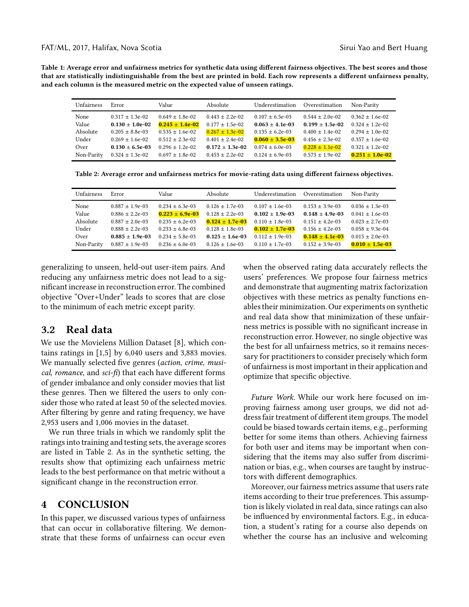<span id="page-3-0"></span>FAT/ML, 2017, Halifax, Nova Scotia Sirui Yao and Bert Huang

Table 1: Average error and unfairness metrics for synthetic data using different fairness objectives. The best scores and those that are statistically indistinguishable from the best are printed in bold. Each row represents a different unfairness penalty, and each column is the measured metric on the expected value of unseen ratings.

| <b>Unfairness</b> | Error                | Value                | Absolute             | Underestimation     | Overestimation       | Non-Parity          |
|-------------------|----------------------|----------------------|----------------------|---------------------|----------------------|---------------------|
| None              | $0.317 + 1.3e-0.2$   | $0.649 \pm 1.8e-0.2$ | $0.443 + 2.2e-02$    | $0.107 + 6.5e-03$   | $0.544 \pm 2.0e-02$  | $0.362 + 1.6e-02$   |
| Value             | $0.130 \pm 1.0e-0.2$ | $0.245 \pm 1.4e-02$  | $0.177 + 1.5e-02$    | $0.063 \pm 4.1e-03$ | $0.199 \pm 1.5e-0.2$ | $0.324 + 1.2e-02$   |
| Absolute          | $0.205 \pm 8.8e-03$  | $0.535 \pm 1.6e-02$  | $0.267 \pm 1.3e-0.2$ | $0.135 \pm 6.2e-03$ | $0.400 \pm 1.4e-02$  | $0.294 + 1.0e-02$   |
| Under             | $0.269 + 1.6e-0.2$   | $0.512 + 2.3e-02$    | $0.401 + 2.4e-02$    | $0.060 \pm 3.5e-03$ | $0.456 \pm 2.3e-0.2$ | $0.357 + 1.6e-02$   |
| Over              | $0.130 \pm 6.5e-03$  | $0.296 + 1.2e-0.2$   | $0.172 + 1.3e-02$    | $0.074 \pm 6.0e-03$ | $0.228 \pm 1.1e-0.2$ | $0.321 + 1.2e-02$   |
| Non-Parity        | $0.324 \pm 1.3e-0.2$ | $0.697 + 1.8e-02$    | $0.453 + 2.2e-02$    | $0.124 \pm 6.9e-03$ | $0.573 \pm 1.9e-02$  | $0.251 \pm 1.0e-02$ |

<span id="page-3-1"></span>Table 2: Average error and unfairness metrics for movie-rating data using different fairness objectives.

| Unfairness | Error               | Value                | Absolute             | Underestimation     | Overestimation      | Non-Parity           |
|------------|---------------------|----------------------|----------------------|---------------------|---------------------|----------------------|
| None       | $0.887 + 1.9e-03$   | $0.234 + 6.3e-03$    | $0.126 \pm 1.7e-03$  | $0.107 + 1.6e-03$   | $0.153 \pm 3.9e-03$ | $0.036 \pm 1.3e-0.3$ |
| Value      | $0.886 \pm 2.2e-03$ | $0.223 + 6.9e-03$    | $0.128 + 2.2e-03$    | $0.102 \pm 1.9e-03$ | $0.148 \pm 4.9e-03$ | $0.041 + 1.6e-03$    |
| Absolute   | $0.887 + 2.0e-03$   | $0.235 + 6.2e-03$    | $0.124 \pm 1.7e-03$  | $0.110 + 1.8e-03$   | $0.151 \pm 4.2e-03$ | $0.023 + 2.7e-03$    |
| Under      | $0.888 + 2.2e-03$   | $0.233 + 6.8e-03$    | $0.128 + 1.8e-03$    | $0.102 \pm 1.7e-03$ | $0.156 \pm 4.2e-03$ | $0.058 + 9.3e-04$    |
| Over       | $0.885 + 1.9e-03$   | $0.234 + 5.8e-03$    | $0.125 \pm 1.6e-0.3$ | $0.112 + 1.9e-03$   | $0.148 \pm 4.1e-03$ | $0.015 \pm 2.0e-03$  |
| Non-Parity | $0.887 + 1.9e-03$   | $0.236 \pm 6.0e$ -03 | $0.126 \pm 1.6e-03$  | $0.110 + 1.7e-03$   | $0.152 \pm 3.9e-03$ | $0.010 \pm 1.5e-03$  |

generalizing to unseen, held-out user-item pairs. And reducing any unfairness metric does not lead to a significant increase in reconstruction error. The combined objective "Over+Under" leads to scores that are close to the minimum of each metric except parity.

#### 3.2 Real data

We use the Movielens Million Dataset [\[8](#page-4-20)], which contains ratings in [1,5] by 6,040 users and 3,883 movies. We manually selected five genres (action, crime, musical, romance, and sci-fi) that each have different forms of gender imbalance and only consider movies that list these genres. Then we filtered the users to only consider those who rated at least 50 of the selected movies. After filtering by genre and rating frequency, we have 2,953 users and 1,006 movies in the dataset.

We run three trials in which we randomly split the ratings into training and testing sets, the average scores are listed in Table [2.](#page-3-1) As in the synthetic setting, the results show that optimizing each unfairness metric leads to the best performance on that metric without a significant change in the reconstruction error.

#### 4 CONCLUSION

In this paper, we discussed various types of unfairness that can occur in collaborative filtering. We demonstrate that these forms of unfairness can occur even

when the observed rating data accurately reflects the users' preferences. We propose four fairness metrics and demonstrate that augmenting matrix factorization objectives with these metrics as penalty functions enables their minimization. Our experiments on synthetic and real data show that minimization of these unfairness metrics is possible with no significant increase in reconstruction error. However, no single objective was the best for all unfairness metrics, so it remains necessary for practitioners to consider precisely which form of unfairness is most important in their application and optimize that specific objective.

Future Work. While our work here focused on improving fairness among user groups, we did not address fair treatment of different item groups. The model could be biased towards certain items, e.g., performing better for some items than others. Achieving fairness for both user and items may be important when considering that the items may also suffer from discrimination or bias, e.g., when courses are taught by instructors with different demographics.

Moreover, our fairness metrics assume that users rate items according to their true preferences. This assumption is likely violated in real data, since ratings can also be influenced by environmental factors. E.g., in education, a student's rating for a course also depends on whether the course has an inclusive and welcoming